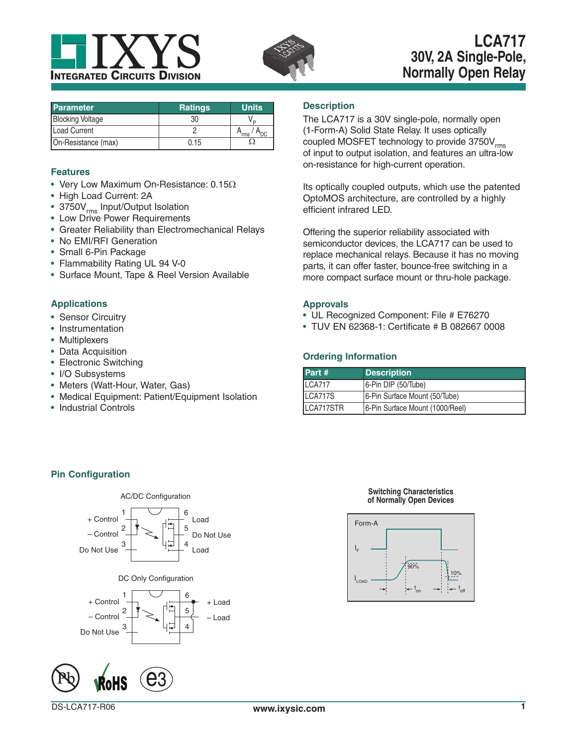



# **LCA717 30V, 2A Single-Pole, Normally Open Relay**

| <b>Parameter</b>        | <b>Ratings</b> | <b>Units</b>     |
|-------------------------|----------------|------------------|
| <b>Blocking Voltage</b> | 30             |                  |
| <b>Load Current</b>     |                | rms <sup>1</sup> |
| On-Resistance (max)     | 0.15           |                  |

# **Features**

- Very Low Maximum On-Resistance:  $0.15\Omega$
- High Load Current: 2A
- 3750V<sub>rms</sub> Input/Output Isolation
- Low Drive Power Requirements
- Greater Reliability than Electromechanical Relays
- No EMI/RFI Generation
- Small 6-Pin Package
- Flammability Rating UL 94 V-0
- Surface Mount, Tape & Reel Version Available

# **Applications**

- Sensor Circuitry
- Instrumentation
- Multiplexers
- Data Acquisition
- Electronic Switching
- I/O Subsystems
- Meters (Watt-Hour, Water, Gas)
- Medical Equipment: Patient/Equipment Isolation
- Industrial Controls

# **Description**

The LCA717 is a 30V single-pole, normally open (1-Form-A) Solid State Relay. It uses optically coupled MOSFET technology to provide  $3750V<sub>rms</sub>$ of input to output isolation, and features an ultra-low on-resistance for high-current operation.

Its optically coupled outputs, which use the patented OptoMOS architecture, are controlled by a highly efficient infrared LED.

Offering the superior reliability associated with semiconductor devices, the LCA717 can be used to replace mechanical relays. Because it has no moving parts, it can offer faster, bounce-free switching in a more compact surface mount or thru-hole package.

### **Approvals**

- UL Recognized Component: File # E76270
- TUV EN 62368-1: Certificate # B 082667 0008

# **Ordering Information**

| Part #        | <b>Description</b>              |
|---------------|---------------------------------|
| <b>LCA717</b> | 6-Pin DIP (50/Tube)             |
| LCA717S       | 6-Pin Surface Mount (50/Tube)   |
| LCA717STR     | 6-Pin Surface Mount (1000/Reel) |

# **Pin Configuration**





### **Switching Characteristics of Normally Open Devices**

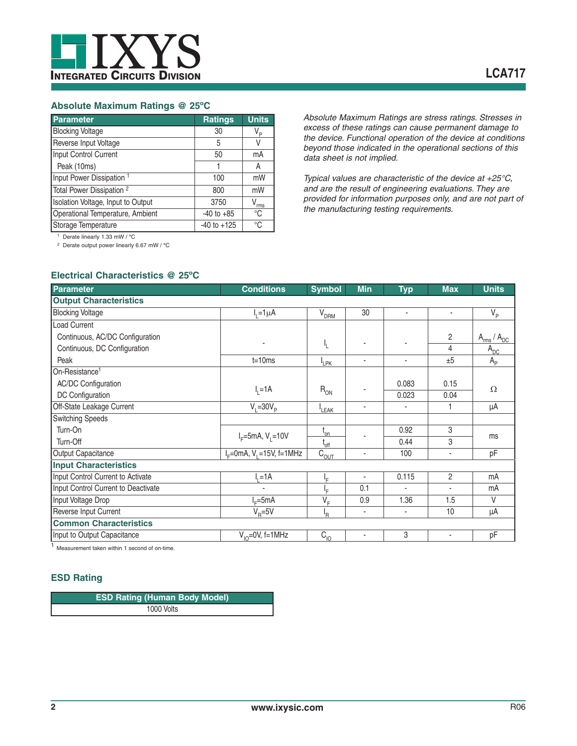# **Absolute Maximum Ratings @ 25ºC**

| Parameter                            | <b>Ratings</b>  | <b>Units</b>   |
|--------------------------------------|-----------------|----------------|
| <b>Blocking Voltage</b>              | 30              | V <sub>P</sub> |
| Reverse Input Voltage                | 5               | V              |
| Input Control Current                | 50              | mA             |
| Peak (10ms)                          |                 | A              |
| Input Power Dissipation <sup>1</sup> | 100             | mW             |
| Total Power Dissipation <sup>2</sup> | 800             | mW             |
| Isolation Voltage, Input to Output   | 3750            | rms            |
| Operational Temperature, Ambient     | $-40$ to $+85$  | °C             |
| Storage Temperature                  | $-40$ to $+125$ | °C             |

*Absolute Maximum Ratings are stress ratings. Stresses in excess of these ratings can cause permanent damage to the device. Functional operation of the device at conditions beyond those indicated in the operational sections of this data sheet is not implied.*

*Typical values are characteristic of the device at +25°C, and are the result of engineering evaluations. They are provided for information purposes only, and are not part of the manufacturing testing requirements.*

1 Derate linearly 1.33 mW / ºC

2 Derate output power linearly 6.67 mW / ºC

# **Electrical Characteristics @ 25ºC**

| <b>Parameter</b>                    | <b>Conditions</b>                            | <b>Symbol</b>                    | <b>Min</b>               | <b>Typ</b> | <b>Max</b>               | <b>Units</b>         |
|-------------------------------------|----------------------------------------------|----------------------------------|--------------------------|------------|--------------------------|----------------------|
| <b>Output Characteristics</b>       |                                              |                                  |                          |            |                          |                      |
| <b>Blocking Voltage</b>             | $I_1 = 1 \mu A$                              | V <sub>DRM</sub>                 | 30                       | ٠          | ٠                        | $V_{\rm p}$          |
| Load Current                        |                                              |                                  |                          |            |                          |                      |
| Continuous, AC/DC Configuration     |                                              |                                  |                          |            | $\overline{2}$           | $A_{rms}$ / $A_{DC}$ |
| Continuous, DC Configuration        |                                              | Ł                                | ٠                        |            | 4                        | $A_{DC}$             |
| Peak                                | $t = 10ms$                                   | <sup>I</sup> LPK                 | $\overline{\phantom{a}}$ | ٠          | ±5                       | $A_{p}$              |
| On-Resistance <sup>1</sup>          |                                              |                                  |                          |            |                          |                      |
| <b>AC/DC Configuration</b>          |                                              |                                  |                          | 0.083      | 0.15                     | $\Omega$             |
| DC Configuration                    | $I_1 = 1A$                                   | $R_{ON}$                         |                          | 0.023      | 0.04                     |                      |
| Off-State Leakage Current           | $V_i = 30V_p$                                | <sup>I</sup> LEAK                | ٠                        |            |                          | μA                   |
| <b>Switching Speeds</b>             |                                              |                                  |                          |            |                          |                      |
| Turn-On                             |                                              | $t_{on}$                         |                          | 0.92       | 3                        |                      |
| Turn-Off                            | $I_F = 5mA, V_L = 10V$                       | $t_{\rm off}$                    |                          | 0.44       | 3                        | ms                   |
| Output Capacitance                  | $I_F = 0$ mA, V <sub>1</sub> = 15V, f = 1MHz | $\overline{C}_{\underline{OUT}}$ | ٠                        | 100        | ٠                        | pF                   |
| <b>Input Characteristics</b>        |                                              |                                  |                          |            |                          |                      |
| Input Control Current to Activate   | $=1A$                                        | ŀF                               | ٠                        | 0.115      | $\overline{2}$           | mA                   |
| Input Control Current to Deactivate |                                              | ΙF                               | 0.1                      | ä,         | $\overline{\phantom{a}}$ | mA                   |
| Input Voltage Drop                  | $-5mA$                                       | $V_F$                            | 0.9                      | 1.36       | 1.5                      | $\vee$               |
| Reverse Input Current               | $V_B = 5V$                                   | 'R                               | ٠                        | ٠          | 10                       | μA                   |
| <b>Common Characteristics</b>       |                                              |                                  |                          |            |                          |                      |
| Input to Output Capacitance         | $V_{10} = 0V$ , f=1MHz                       | $C_{10}$                         | ٠                        | 3          | ٠                        | pF                   |

<sup>1</sup> Measurement taken within 1 second of on-time.

# **ESD Rating**

| <b>ESD Rating (Human Body Model)</b> |  |
|--------------------------------------|--|
| 1000 Volts                           |  |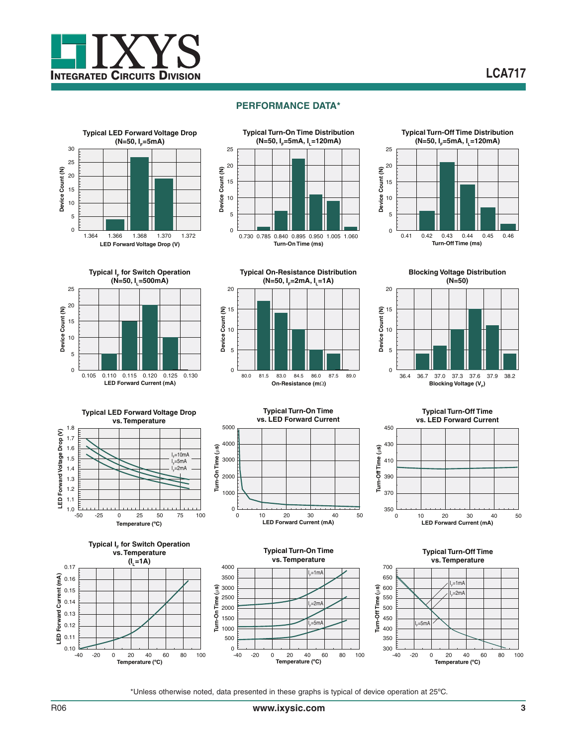















**Typical Turn-On Time**

















**Typical Turn-Off Time vs. Temperature** 700 650 I  $_{\rm F}$ =1mA Îεr 600  $=2m$ I 550 F 500 450  $=5m$ I 400 F 350  $300 -40$ 

**Turn-Off Time (**P**s)**

Turn-Off Time

**Temperature (ºC)** -40 -20 0 20 40 60 80 100

\*Unless otherwise noted, data presented in these graphs is typical of device operation at 25ºC.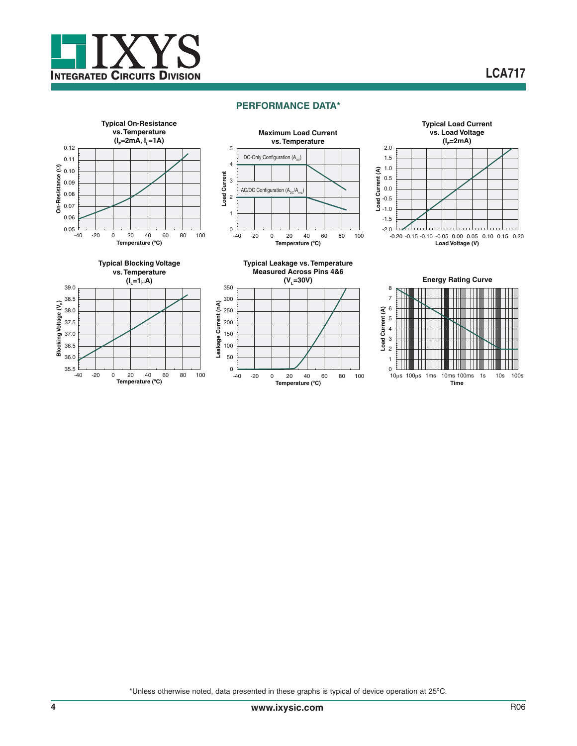

# **LCA717**

### **PERFORMANCE DATA\***



\*Unless otherwise noted, data presented in these graphs is typical of device operation at 25ºC.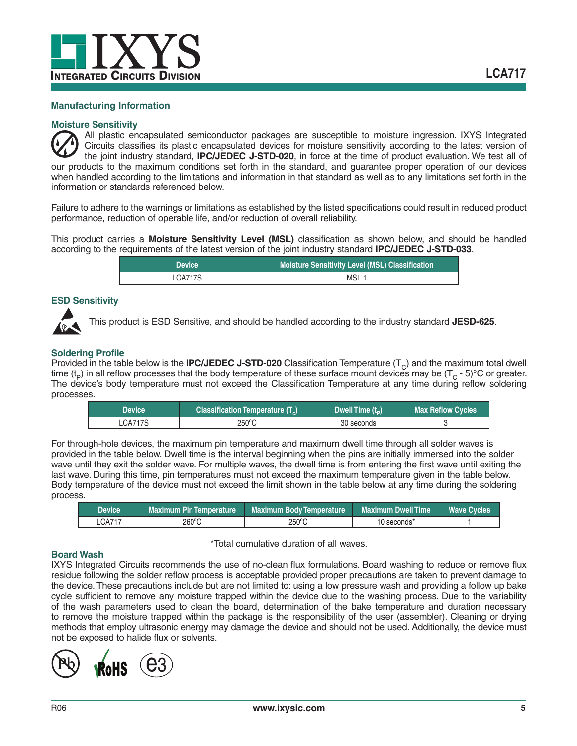

### **Manufacturing Information**

### **Moisture Sensitivity**

All plastic encapsulated semiconductor packages are susceptible to moisture ingression. IXYS Integrated Circuits classifies its plastic encapsulated devices for moisture sensitivity according to the latest version of the joint industry standard, **IPC/JEDEC J-STD-020**, in force at the time of product evaluation. We test all of our products to the maximum conditions set forth in the standard, and guarantee proper operation of our devices when handled according to the limitations and information in that standard as well as to any limitations set forth in the information or standards referenced below.

Failure to adhere to the warnings or limitations as established by the listed specifications could result in reduced product performance, reduction of operable life, and/or reduction of overall reliability.

This product carries a **Moisture Sensitivity Level (MSL)** classification as shown below, and should be handled according to the requirements of the latest version of the joint industry standard **IPC/JEDEC J-STD-033**.

| <b>Device</b> | Moisture Sensitivity Level (MSL) Classification |  |
|---------------|-------------------------------------------------|--|
| LCA717S       | MSL <sub>1</sub>                                |  |

# **ESD Sensitivity**



This product is ESD Sensitive, and should be handled according to the industry standard **JESD-625**.

### **Soldering Profile**

Provided in the table below is the **IPC/JEDEC J-STD-020** Classification Temperature  $(T<sub>C</sub>)$  and the maximum total dwell time ( $t_P$ ) in all reflow processes that the body temperature of these surface mount devices may be ( $T_C$  - 5)°C or greater. The device's body temperature must not exceed the Classification Temperature at any time during reflow soldering processes.

| <b>Device</b> | Classification Temperature (T <sub>a</sub> ) | Dwell Time $(t_n)$ | <b>Max Reflow Cycles</b> |
|---------------|----------------------------------------------|--------------------|--------------------------|
| LCA717S       | 250°C                                        | 30 seconds         |                          |

For through-hole devices, the maximum pin temperature and maximum dwell time through all solder waves is provided in the table below. Dwell time is the interval beginning when the pins are initially immersed into the solder wave until they exit the solder wave. For multiple waves, the dwell time is from entering the first wave until exiting the last wave. During this time, pin temperatures must not exceed the maximum temperature given in the table below. Body temperature of the device must not exceed the limit shown in the table below at any time during the soldering process.

| Device | <b>Maximum Pin Temperature</b> | <b>Maximum Body Temperature</b> | <b>Maximum Dwell Time</b> | <b>Wave Cycles</b> |
|--------|--------------------------------|---------------------------------|---------------------------|--------------------|
| CA717  | 260°C                          | 250°C                           | 10 seconds*               |                    |

### **Board Wash**

\*Total cumulative duration of all waves.

IXYS Integrated Circuits recommends the use of no-clean flux formulations. Board washing to reduce or remove flux residue following the solder reflow process is acceptable provided proper precautions are taken to prevent damage to the device. These precautions include but are not limited to: using a low pressure wash and providing a follow up bake cycle sufficient to remove any moisture trapped within the device due to the washing process. Due to the variability of the wash parameters used to clean the board, determination of the bake temperature and duration necessary to remove the moisture trapped within the package is the responsibility of the user (assembler). Cleaning or drying methods that employ ultrasonic energy may damage the device and should not be used. Additionally, the device must not be exposed to halide flux or solvents.

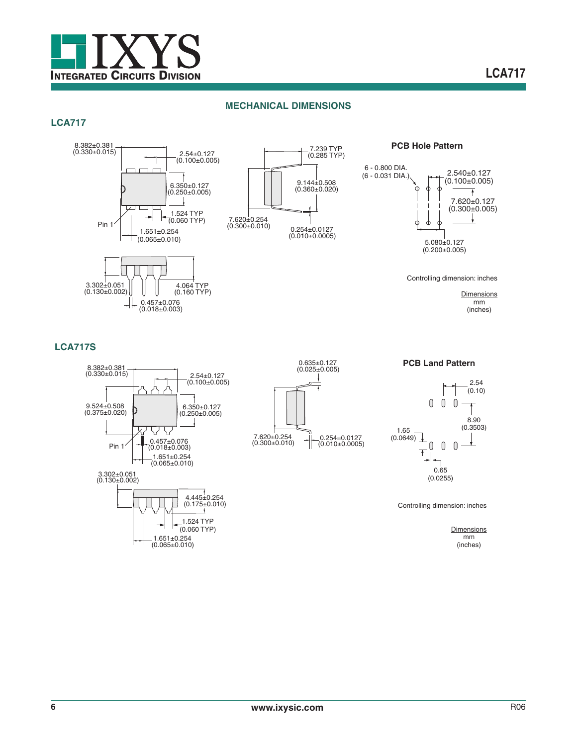

# **MECHANICAL DIMENSIONS**

# **LCA717**



đ

Controlling dimension: inches

**Dimensions** mm (inches)

2.540±0.127  $(0.100 \pm 0.005)$ 

7.620±0.127 (0.300±0.005)

 $\downarrow$ 

 $\overline{+}$ 

# **LCA717S**











Controlling dimension: inches

**Dimensions** mm (inches)